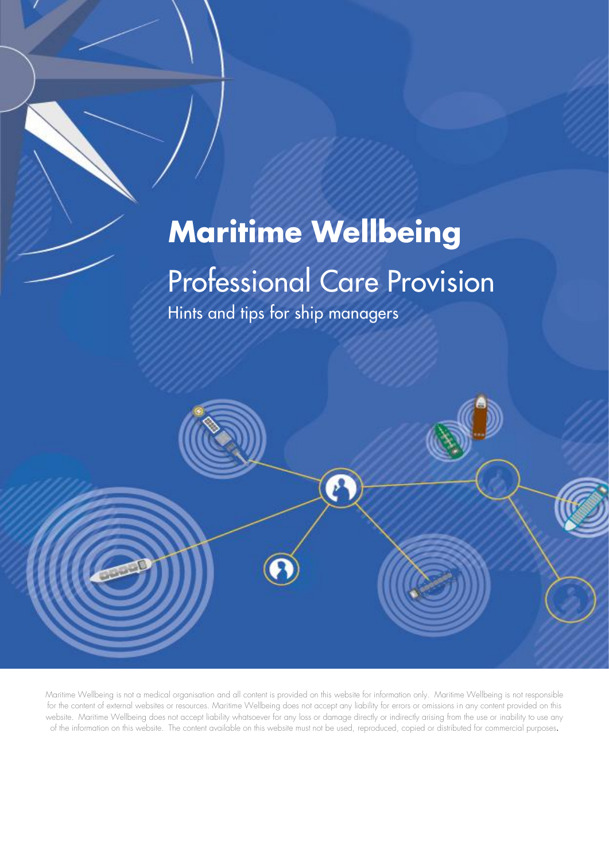# **Maritime Wellbeing**

### Professional Care Provision

Hints and tips for ship managers



Maritime Wellbeing is not a medical organisation and all content is provided on this website for information only. Maritime Wellbeing is not responsible for the content of external websites or resources. Maritime Wellbeing does not accept any liability for errors or omissions in any content provided on this website. Maritime Wellbeing does not accept liability whatsoever for any loss or damage directly or indirectly arising from the use or inability to use any of the information on this website. The content available on this website must not be used, reproduced, copied or distributed for commercial purposes.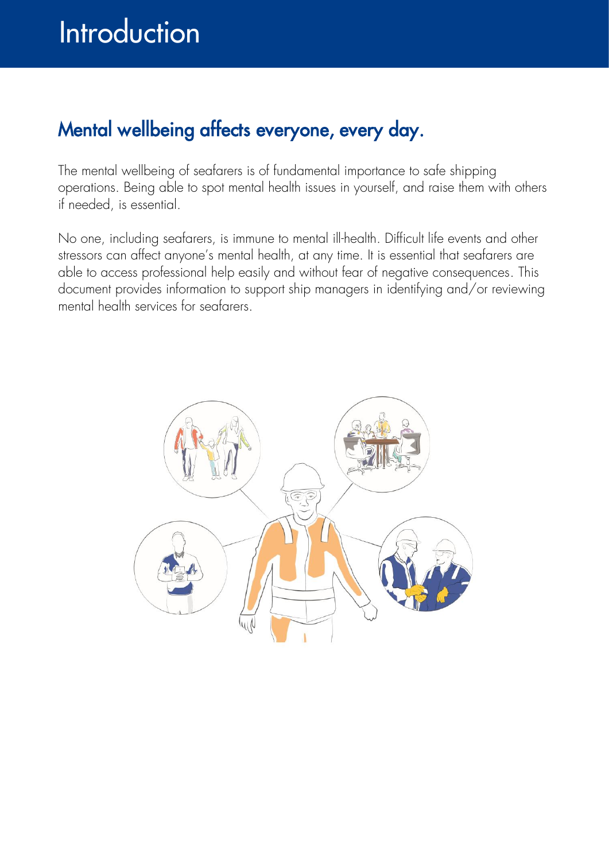### Mental wellbeing affects everyone, every day.

The mental wellbeing of seafarers is of fundamental importance to safe shipping operations. Being able to spot mental health issues in yourself, and raise them with others if needed, is essential.

No one, including seafarers, is immune to mental ill-health. Difficult life events and other stressors can affect anyone's mental health, at any time. It is essential that seafarers are able to access professional help easily and without fear of negative consequences. This document provides information to support ship managers in identifying and/or reviewing mental health services for seafarers.

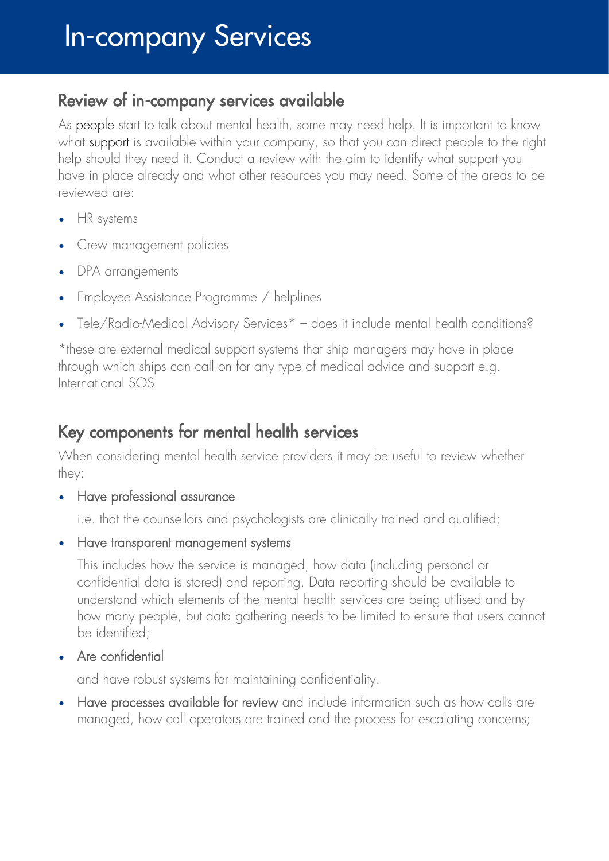#### Review of in-company services available

As people start to talk about mental health, some may need help. It is important to know what support is available within your company, so that you can direct people to the right help should they need it. Conduct a review with the aim to identify what support you have in place already and what other resources you may need. Some of the areas to be reviewed are:

- HR systems
- Crew management policies
- DPA arrangements
- Employee Assistance Programme / helplines
- Tele/Radio-Medical Advisory Services\* does it include mental health conditions?

\*these are external medical support systems that ship managers may have in place through which ships can call on for any type of medical advice and support e.g. International SOS

#### Key components for mental health services

When considering mental health service providers it may be useful to review whether they:

• Have professional assurance

i.e. that the counsellors and psychologists are clinically trained and qualified;

• Have transparent management systems

This includes how the service is managed, how data (including personal or confidential data is stored) and reporting. Data reporting should be available to understand which elements of the mental health services are being utilised and by how many people, but data gathering needs to be limited to ensure that users cannot be identified;

Are confidential

and have robust systems for maintaining confidentiality.

• Have processes available for review and include information such as how calls are managed, how call operators are trained and the process for escalating concerns;